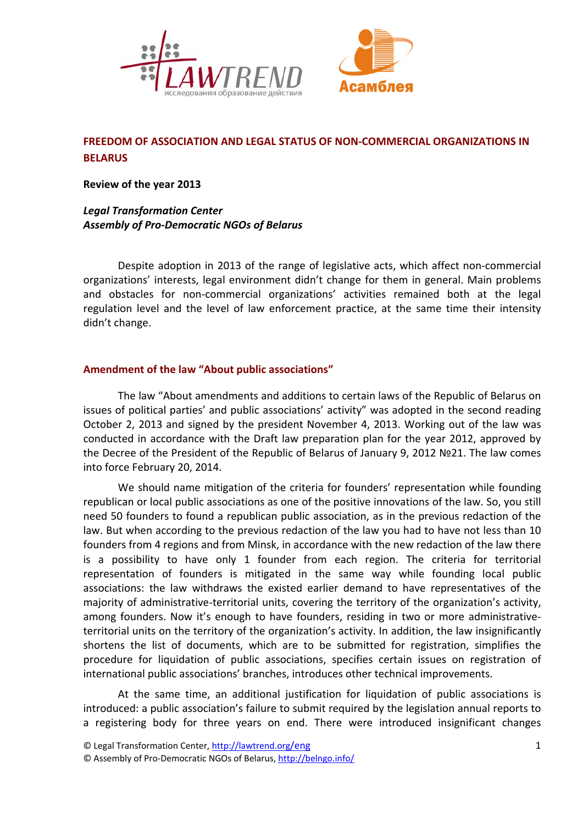



# **FREEDOM OF ASSOCIATION AND LEGAL STATUS OF NON‐COMMERCIAL ORGANIZATIONS IN BELARUS**

**Review of the year 2013**

# *Legal Transformation Center Assembly of Pro‐Democratic NGOs of Belarus*

Despite adoption in 2013 of the range of legislative acts, which affect non‐commercial organizations' interests, legal environment didn't change for them in general. Main problems and obstacles for non‐commercial organizations' activities remained both at the legal regulation level and the level of law enforcement practice, at the same time their intensity didn't change.

## **Amendment of the law "About public associations"**

The law "About amendments and additions to certain laws of the Republic of Belarus on issues of political parties' and public associations' activity" was adopted in the second reading October 2, 2013 and signed by the president November 4, 2013. Working out of the law was conducted in accordance with the Draft law preparation plan for the year 2012, approved by the Decree of the President of the Republic of Belarus of January 9, 2012 №21. The law comes into force February 20, 2014.

We should name mitigation of the criteria for founders' representation while founding republican or local public associations as one of the positive innovations of the law. So, you still need 50 founders to found a republican public association, as in the previous redaction of the law. But when according to the previous redaction of the law you had to have not less than 10 founders from 4 regions and from Minsk, in accordance with the new redaction of the law there is a possibility to have only 1 founder from each region. The criteria for territorial representation of founders is mitigated in the same way while founding local public associations: the law withdraws the existed earlier demand to have representatives of the majority of administrative‐territorial units, covering the territory of the organization's activity, among founders. Now it's enough to have founders, residing in two or more administrativeterritorial units on the territory of the organization's activity. In addition, the law insignificantly shortens the list of documents, which are to be submitted for registration, simplifies the procedure for liquidation of public associations, specifies certain issues on registration of international public associations' branches, introduces other technical improvements.

At the same time, an additional justification for liquidation of public associations is introduced: a public association's failure to submit required by the legislation annual reports to a registering body for three years on end. There were introduced insignificant changes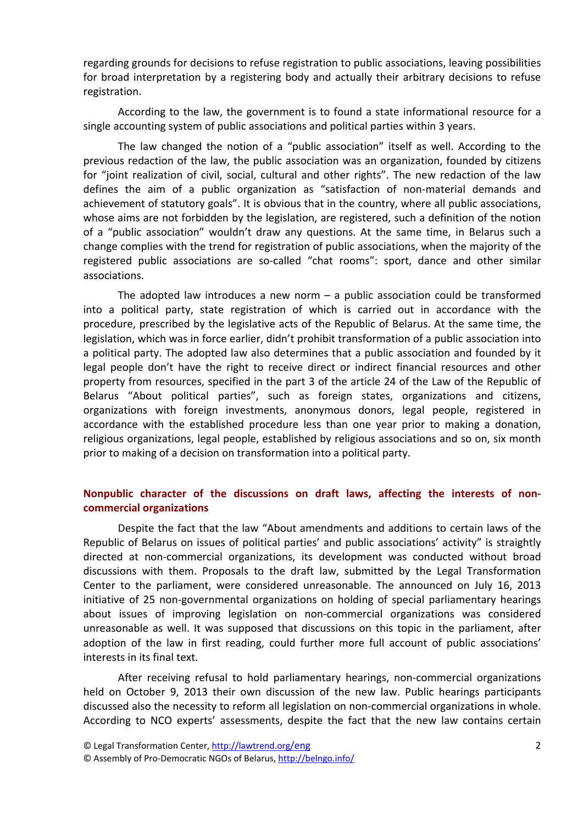regarding grounds for decisions to refuse registration to public associations, leaving possibilities for broad interpretation by a registering body and actually their arbitrary decisions to refuse registration.

According to the law, the government is to found a state informational resource for a single accounting system of public associations and political parties within 3 years.

The law changed the notion of a "public association" itself as well. According to the previous redaction of the law, the public association was an organization, founded by citizens for "joint realization of civil, social, cultural and other rights". The new redaction of the law defines the aim of a public organization as "satisfaction of non‐material demands and achievement of statutory goals". It is obvious that in the country, where all public associations, whose aims are not forbidden by the legislation, are registered, such a definition of the notion of a "public association" wouldn't draw any questions. At the same time, in Belarus such a change complies with the trend for registration of public associations, when the majority of the registered public associations are so-called "chat rooms": sport, dance and other similar associations.

The adopted law introduces a new norm  $-$  a public association could be transformed into a political party, state registration of which is carried out in accordance with the procedure, prescribed by the legislative acts of the Republic of Belarus. At the same time, the legislation, which was in force earlier, didn't prohibit transformation of a public association into a political party. The adopted law also determines that a public association and founded by it legal people don't have the right to receive direct or indirect financial resources and other property from resources, specified in the part 3 of the article 24 of the Law of the Republic of Belarus "About political parties", such as foreign states, organizations and citizens, organizations with foreign investments, anonymous donors, legal people, registered in accordance with the established procedure less than one year prior to making a donation, religious organizations, legal people, established by religious associations and so on, six month prior to making of a decision on transformation into a political party.

#### **Nonpublic character of the discussions on draft laws, affecting the interests of non‐ commercial organizations**

Despite the fact that the law "About amendments and additions to certain laws of the Republic of Belarus on issues of political parties' and public associations' activity" is straightly directed at non‐commercial organizations, its development was conducted without broad discussions with them. Proposals to the draft law, submitted by the Legal Transformation Center to the parliament, were considered unreasonable. The announced on July 16, 2013 initiative of 25 non‐governmental organizations on holding of special parliamentary hearings about issues of improving legislation on non‐commercial organizations was considered unreasonable as well. It was supposed that discussions on this topic in the parliament, after adoption of the law in first reading, could further more full account of public associations' interests in its final text.

After receiving refusal to hold parliamentary hearings, non‐commercial organizations held on October 9, 2013 their own discussion of the new law. Public hearings participants discussed also the necessity to reform all legislation on non‐commercial organizations in whole. According to NCO experts' assessments, despite the fact that the new law contains certain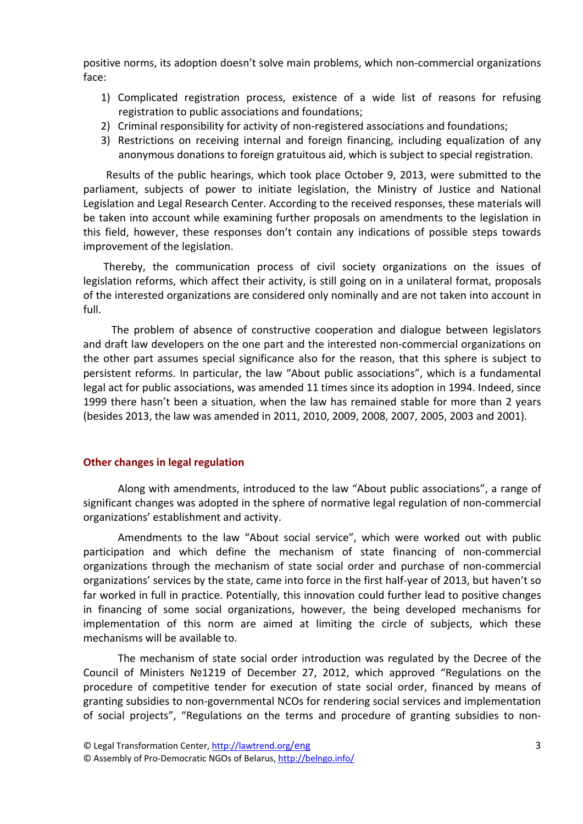positive norms, its adoption doesn't solve main problems, which non‐commercial organizations face:

- 1) Complicated registration process, existence of a wide list of reasons for refusing registration to public associations and foundations;
- 2) Criminal responsibility for activity of non-registered associations and foundations;
- 3) Restrictions on receiving internal and foreign financing, including equalization of any anonymous donations to foreign gratuitous aid, which is subject to special registration.

 Results of the public hearings, which took place October 9, 2013, were submitted to the parliament, subjects of power to initiate legislation, the Ministry of Justice and National Legislation and Legal Research Center. According to the received responses, these materials will be taken into account while examining further proposals on amendments to the legislation in this field, however, these responses don't contain any indications of possible steps towards improvement of the legislation.

Thereby, the communication process of civil society organizations on the issues of legislation reforms, which affect their activity, is still going on in a unilateral format, proposals of the interested organizations are considered only nominally and are not taken into account in full.

 The problem of absence of constructive cooperation and dialogue between legislators and draft law developers on the one part and the interested non‐commercial organizations on the other part assumes special significance also for the reason, that this sphere is subject to persistent reforms. In particular, the law "About public associations", which is a fundamental legal act for public associations, was amended 11 times since its adoption in 1994. Indeed, since 1999 there hasn't been a situation, when the law has remained stable for more than 2 years (besides 2013, the law was amended in 2011, 2010, 2009, 2008, 2007, 2005, 2003 and 2001).

#### **Other changes in legal regulation**

Along with amendments, introduced to the law "About public associations", a range of significant changes was adopted in the sphere of normative legal regulation of non‐commercial organizations' establishment and activity.

Amendments to the law "About social service", which were worked out with public participation and which define the mechanism of state financing of non‐commercial organizations through the mechanism of state social order and purchase of non‐commercial organizations' services by the state, came into force in the first half‐year of 2013, but haven't so far worked in full in practice. Potentially, this innovation could further lead to positive changes in financing of some social organizations, however, the being developed mechanisms for implementation of this norm are aimed at limiting the circle of subjects, which these mechanisms will be available to.

The mechanism of state social order introduction was regulated by the Decree of the Council of Ministers №1219 of December 27, 2012, which approved "Regulations on the procedure of competitive tender for execution of state social order, financed by means of granting subsidies to non‐governmental NCOs for rendering social services and implementation of social projects", "Regulations on the terms and procedure of granting subsidies to non‐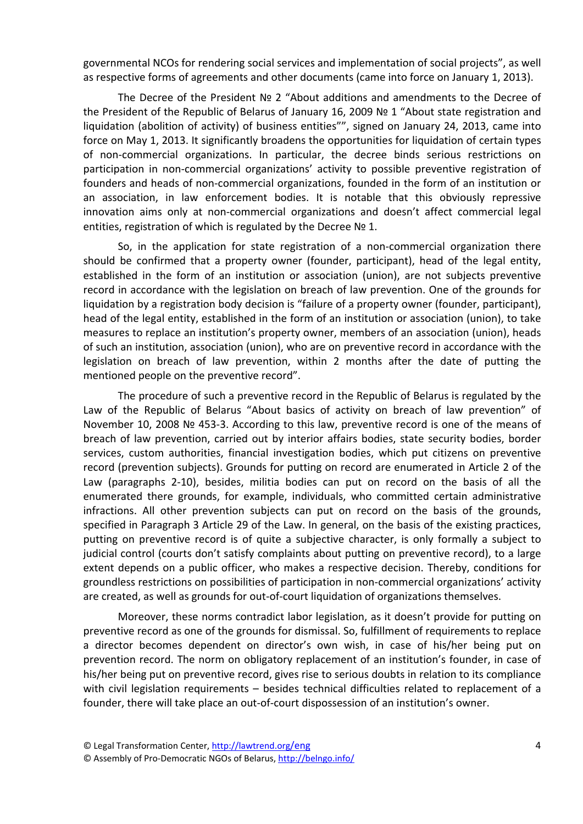governmental NCOs for rendering social services and implementation of social projects", as well as respective forms of agreements and other documents (came into force on January 1, 2013).

The Decree of the President № 2 "About additions and amendments to the Decree of the President of the Republic of Belarus of January 16, 2009 № 1 "About state registration and liquidation (abolition of activity) of business entities"", signed on January 24, 2013, came into force on May 1, 2013. It significantly broadens the opportunities for liquidation of certain types of non-commercial organizations. In particular, the decree binds serious restrictions on participation in non‐commercial organizations' activity to possible preventive registration of founders and heads of non‐commercial organizations, founded in the form of an institution or an association, in law enforcement bodies. It is notable that this obviously repressive innovation aims only at non-commercial organizations and doesn't affect commercial legal entities, registration of which is regulated by the Decree Nº 1.

So, in the application for state registration of a non‐commercial organization there should be confirmed that a property owner (founder, participant), head of the legal entity, established in the form of an institution or association (union), are not subjects preventive record in accordance with the legislation on breach of law prevention. One of the grounds for liquidation by a registration body decision is "failure of a property owner (founder, participant), head of the legal entity, established in the form of an institution or association (union), to take measures to replace an institution's property owner, members of an association (union), heads of such an institution, association (union), who are on preventive record in accordance with the legislation on breach of law prevention, within 2 months after the date of putting the mentioned people on the preventive record".

The procedure of such a preventive record in the Republic of Belarus is regulated by the Law of the Republic of Belarus "About basics of activity on breach of law prevention" of November 10, 2008 № 453-3. According to this law, preventive record is one of the means of breach of law prevention, carried out by interior affairs bodies, state security bodies, border services, custom authorities, financial investigation bodies, which put citizens on preventive record (prevention subjects). Grounds for putting on record are enumerated in Article 2 of the Law (paragraphs 2-10), besides, militia bodies can put on record on the basis of all the enumerated there grounds, for example, individuals, who committed certain administrative infractions. All other prevention subjects can put on record on the basis of the grounds, specified in Paragraph 3 Article 29 of the Law. In general, on the basis of the existing practices, putting on preventive record is of quite a subjective character, is only formally a subject to judicial control (courts don't satisfy complaints about putting on preventive record), to a large extent depends on a public officer, who makes a respective decision. Thereby, conditions for groundless restrictions on possibilities of participation in non‐commercial organizations' activity are created, as well as grounds for out‐of‐court liquidation of organizations themselves.

Moreover, these norms contradict labor legislation, as it doesn't provide for putting on preventive record as one of the grounds for dismissal. So, fulfillment of requirements to replace a director becomes dependent on director's own wish, in case of his/her being put on prevention record. The norm on obligatory replacement of an institution's founder, in case of his/her being put on preventive record, gives rise to serious doubts in relation to its compliance with civil legislation requirements – besides technical difficulties related to replacement of a founder, there will take place an out‐of‐court dispossession of an institution's owner.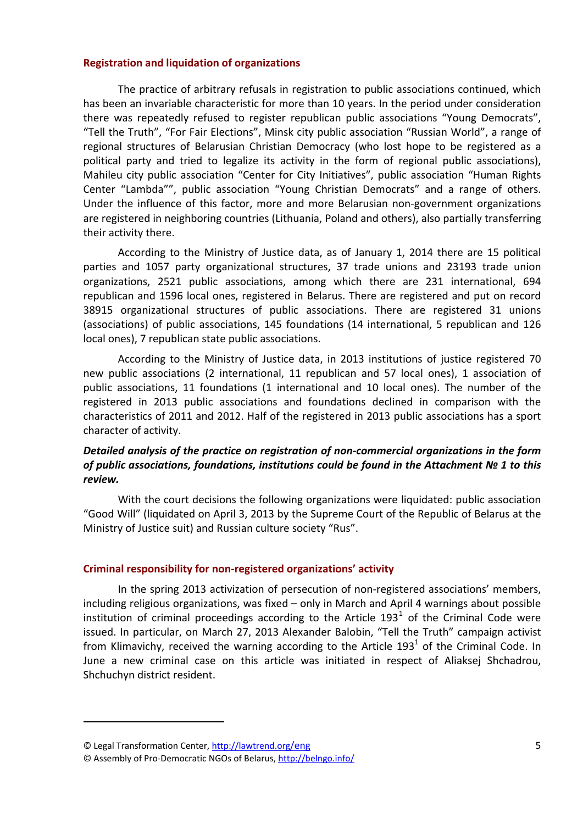#### **Registration and liquidation of organizations**

The practice of arbitrary refusals in registration to public associations continued, which has been an invariable characteristic for more than 10 years. In the period under consideration there was repeatedly refused to register republican public associations "Young Democrats", "Tell the Truth", "For Fair Elections", Minsk city public association "Russian World", a range of regional structures of Belarusian Christian Democracy (who lost hope to be registered as a political party and tried to legalize its activity in the form of regional public associations), Mahileu city public association "Center for City Initiatives", public association "Human Rights Center "Lambda"", public association "Young Christian Democrats" and a range of others. Under the influence of this factor, more and more Belarusian non‐government organizations are registered in neighboring countries (Lithuania, Poland and others), also partially transferring their activity there.

According to the Ministry of Justice data, as of January 1, 2014 there are 15 political parties and 1057 party organizational structures, 37 trade unions and 23193 trade union organizations, 2521 public associations, among which there are 231 international, 694 republican and 1596 local ones, registered in Belarus. There are registered and put on record 38915 organizational structures of public associations. There are registered 31 unions (associations) of public associations, 145 foundations (14 international, 5 republican and 126 local ones), 7 republican state public associations.

According to the Ministry of Justice data, in 2013 institutions of justice registered 70 new public associations (2 international, 11 republican and 57 local ones), 1 association of public associations, 11 foundations (1 international and 10 local ones). The number of the registered in 2013 public associations and foundations declined in comparison with the characteristics of 2011 and 2012. Half of the registered in 2013 public associations has a sport character of activity.

## *Detailed analysis of the practice on registration of non‐commercial organizations in the form of public associations, foundations, institutions could be found in the Attachment № 1 to this review.*

With the court decisions the following organizations were liquidated: public association "Good Will" (liquidated on April 3, 2013 by the Supreme Court of the Republic of Belarus at the Ministry of Justice suit) and Russian culture society "Rus".

#### **Criminal responsibility for non‐registered organizations' activity**

In the spring 2013 activization of persecution of non-registered associations' members, including religious organizations, was fixed – only in March and April 4 warnings about possible institution of criminal proceedings according to the Article [1](#page-4-0)93<sup>1</sup> of the Criminal Code were issued. In particular, on March 27, 2013 Alexander Balobin, "Tell the Truth" campaign activist from Klimavichy, received the warning according to the Article  $193<sup>1</sup>$  of the Criminal Code. In June a new criminal case on this article was initiated in respect of Aliaksej Shchadrou, Shchuchyn district resident.

<span id="page-4-0"></span><sup>©</sup> Legal Transformation Center, http://lawtrend.org/eng

<sup>©</sup> Assembly of Pro‐Democratic NGOs of Belarus, http://belngo.info/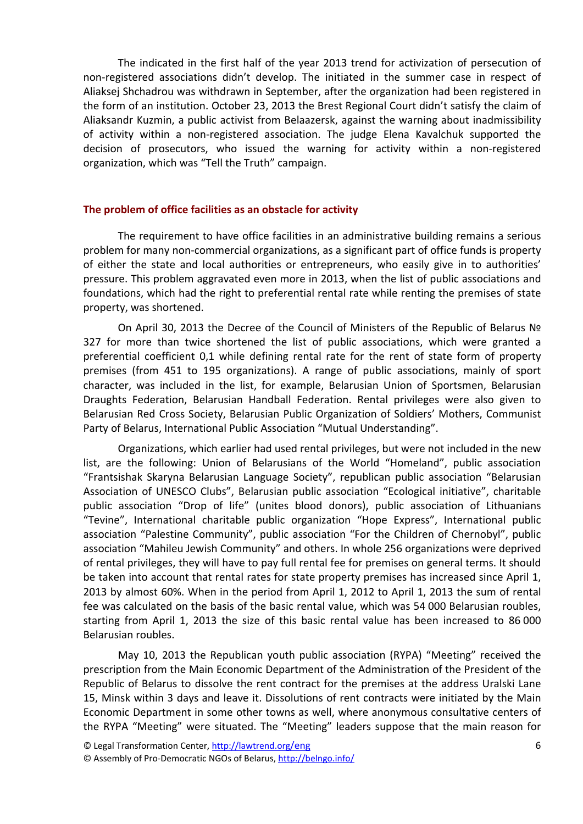The indicated in the first half of the year 2013 trend for activization of persecution of non‐registered associations didn't develop. The initiated in the summer case in respect of Aliaksej Shchadrou was withdrawn in September, after the organization had been registered in the form of an institution. October 23, 2013 the Brest Regional Court didn't satisfy the claim of Aliaksandr Kuzmin, a public activist from Belaazersk, against the warning about inadmissibility of activity within a non‐registered association. The judge Elena Kavalchuk supported the decision of prosecutors, who issued the warning for activity within a non-registered organization, which was "Tell the Truth" campaign.

#### **The problem of office facilities as an obstacle for activity**

The requirement to have office facilities in an administrative building remains a serious problem for many non‐commercial organizations, as a significant part of office funds is property of either the state and local authorities or entrepreneurs, who easily give in to authorities' pressure. This problem aggravated even more in 2013, when the list of public associations and foundations, which had the right to preferential rental rate while renting the premises of state property, was shortened.

On April 30, 2013 the Decree of the Council of Ministers of the Republic of Belarus № 327 for more than twice shortened the list of public associations, which were granted a preferential coefficient 0,1 while defining rental rate for the rent of state form of property premises (from 451 to 195 organizations). A range of public associations, mainly of sport character, was included in the list, for example, Belarusian Union of Sportsmen, Belarusian Draughts Federation, Belarusian Handball Federation. Rental privileges were also given to Belarusian Red Cross Society, Belarusian Public Organization of Soldiers' Mothers, Communist Party of Belarus, International Public Association "Mutual Understanding".

Organizations, which earlier had used rental privileges, but were not included in the new list, are the following: Union of Belarusians of the World "Homeland", public association "Frantsishak Skaryna Belarusian Language Society", republican public association "Belarusian Association of UNESCO Clubs", Belarusian public association "Ecological initiative", charitable public association "Drop of life" (unites blood donors), public association of Lithuanians "Tevine", International charitable public organization "Hope Express", International public association "Palestine Community", public association "For the Children of Chernobyl", public association "Mahileu Jewish Community" and others. In whole 256 organizations were deprived of rental privileges, they will have to pay full rental fee for premises on general terms. It should be taken into account that rental rates for state property premises has increased since April 1, 2013 by almost 60%. When in the period from April 1, 2012 to April 1, 2013 the sum of rental fee was calculated on the basis of the basic rental value, which was 54 000 Belarusian roubles, starting from April 1, 2013 the size of this basic rental value has been increased to 86 000 Belarusian roubles.

May 10, 2013 the Republican youth public association (RYPA) "Meeting" received the prescription from the Main Economic Department of the Administration of the President of the Republic of Belarus to dissolve the rent contract for the premises at the address Uralski Lane 15, Minsk within 3 days and leave it. Dissolutions of rent contracts were initiated by the Main Economic Department in some other towns as well, where anonymous consultative centers of the RYPA "Meeting" were situated. The "Meeting" leaders suppose that the main reason for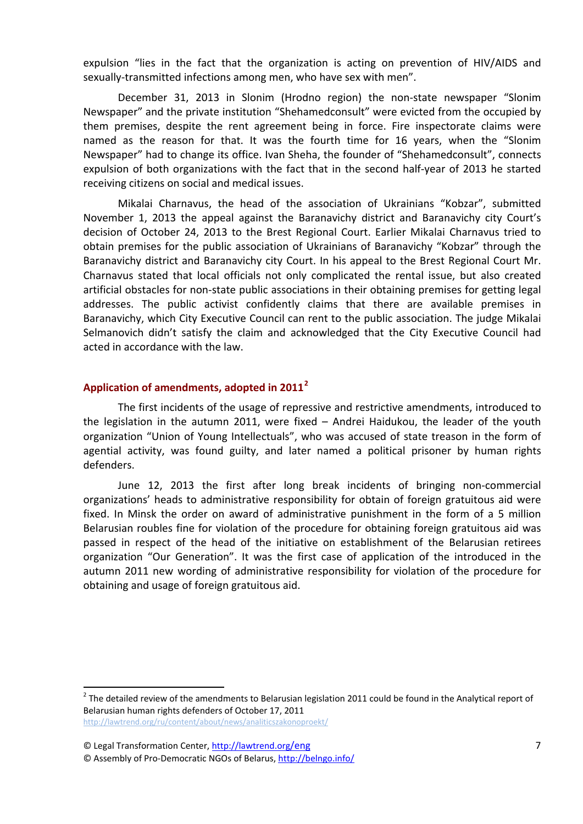expulsion "lies in the fact that the organization is acting on prevention of HIV/AIDS and sexually-transmitted infections among men, who have sex with men".

December 31, 2013 in Slonim (Hrodno region) the non-state newspaper "Slonim Newspaper" and the private institution "Shehamedconsult" were evicted from the occupied by them premises, despite the rent agreement being in force. Fire inspectorate claims were named as the reason for that. It was the fourth time for 16 years, when the "Slonim Newspaper" had to change its office. Ivan Sheha, the founder of "Shehamedconsult", connects expulsion of both organizations with the fact that in the second half-year of 2013 he started receiving citizens on social and medical issues.

Mikalai Charnavus, the head of the association of Ukrainians "Kobzar", submitted November 1, 2013 the appeal against the Baranavichy district and Baranavichy city Court's decision of October 24, 2013 to the Brest Regional Court. Earlier Mikalai Charnavus tried to obtain premises for the public association of Ukrainians of Baranavichy "Kobzar" through the Baranavichy district and Baranavichy city Court. In his appeal to the Brest Regional Court Mr. Charnavus stated that local officials not only complicated the rental issue, but also created artificial obstacles for non‐state public associations in their obtaining premises for getting legal addresses. The public activist confidently claims that there are available premises in Baranavichy, which City Executive Council can rent to the public association. The judge Mikalai Selmanovich didn't satisfy the claim and acknowledged that the City Executive Council had acted in accordance with the law.

# **Application of amendments, adopted in 2011[2](#page-6-0)**

The first incidents of the usage of repressive and restrictive amendments, introduced to the legislation in the autumn 2011, were fixed – Andrei Haidukou, the leader of the youth organization "Union of Young Intellectuals", who was accused of state treason in the form of agential activity, was found guilty, and later named a political prisoner by human rights defenders.

June 12, 2013 the first after long break incidents of bringing non‐commercial organizations' heads to administrative responsibility for obtain of foreign gratuitous aid were fixed. In Minsk the order on award of administrative punishment in the form of a 5 million Belarusian roubles fine for violation of the procedure for obtaining foreign gratuitous aid was passed in respect of the head of the initiative on establishment of the Belarusian retirees organization "Our Generation". It was the first case of application of the introduced in the autumn 2011 new wording of administrative responsibility for violation of the procedure for obtaining and usage of foreign gratuitous aid.

<span id="page-6-0"></span> $<sup>2</sup>$  The detailed review of the amendments to Belarusian legislation 2011 could be found in the Analytical report of</sup> Belarusian human rights defenders of October 17, 2011 <http://lawtrend.org/ru/content/about/news/analiticszakonoproekt/>

<sup>©</sup> Legal Transformation Center, http://lawtrend.org/eng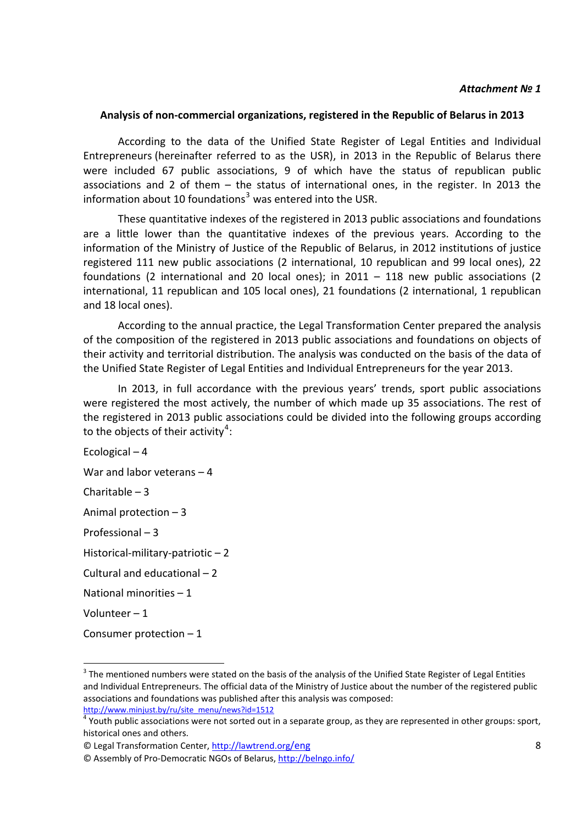#### *Attachment № 1*

#### **Analysis of non‐commercial organizations, registered in the Republic of Belarus in 2013**

According to the data of the Unified State Register of Legal Entities and Individual Entrepreneurs (hereinafter referred to as the USR), in 2013 in the Republic of Belarus there were included 67 public associations, 9 of which have the status of republican public associations and 2 of them – the status of international ones, in the register. In 2013 the information about 10 foundations<sup>[3](#page-7-0)</sup> was entered into the USR.

These quantitative indexes of the registered in 2013 public associations and foundations are a little lower than the quantitative indexes of the previous years. According to the information of the Ministry of Justice of the Republic of Belarus, in 2012 institutions of justice registered 111 new public associations (2 international, 10 republican and 99 local ones), 22 foundations (2 international and 20 local ones); in  $2011 - 118$  new public associations (2 international, 11 republican and 105 local ones), 21 foundations (2 international, 1 republican and 18 local ones).

According to the annual practice, the Legal Transformation Center prepared the analysis of the composition of the registered in 2013 public associations and foundations on objects of their activity and territorial distribution. The analysis was conducted on the basis of the data of the Unified State Register of Legal Entities and Individual Entrepreneurs for the year 2013.

In 2013, in full accordance with the previous years' trends, sport public associations were registered the most actively, the number of which made up 35 associations. The rest of the registered in 2013 public associations could be divided into the following groups according to the objects of their activity<sup>[4](#page-7-1)</sup>:

Ecological – 4

War and labor veterans – 4

Charitable – 3

Animal protection – 3

Professional – 3

Historical‐military‐patriotic – 2

Cultural and educational – 2

National minorities – 1

Volunteer – 1

Consumer protection – 1

<span id="page-7-0"></span> $3$  The mentioned numbers were stated on the basis of the analysis of the Unified State Register of Legal Entities and Individual Entrepreneurs. The official data of the Ministry of Justice about the number of the registered public associations and foundations was published after this analysis was composed:

<span id="page-7-1"></span>[http://www.minjust.by/ru/site\\_menu/news?id=1512](http://www.minjust.by/ru/site_menu/news?id=1512)<br><sup>4</sup> Youth public associations were not sorted out in a separate group, as they are represented in other groups: sport, historical ones and others.

<sup>©</sup> Legal Transformation Center, http://lawtrend.org/eng

<sup>©</sup> Assembly of Pro‐Democratic NGOs of Belarus, http://belngo.info/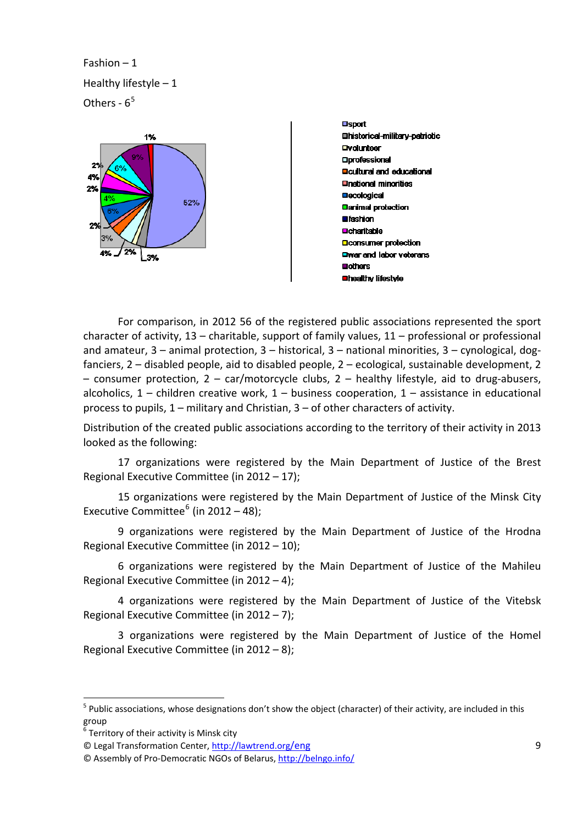Fashion – 1 Healthy lifestyle – 1 Others -  $6<sup>5</sup>$  $6<sup>5</sup>$  $6<sup>5</sup>$ 



**Osport Ohistorical-military-patriotic Dvolunteer Oprofessional Doutural and educational Onational minorities Decological Danimal protection Ofashion Ocharitable Liconsumer protection** Owar and labor veterans **Bothers Unealthy lifestyle** 

 For comparison, in 2012 56 of the registered public associations represented the sport character of activity, 13 – charitable, support of family values, 11 – professional or professional and amateur, 3 – animal protection, 3 – historical, 3 – national minorities, 3 – cynological, dog‐ fanciers, 2 – disabled people, aid to disabled people, 2 – ecological, sustainable development, 2 – consumer protection, 2 – car/motorcycle clubs, 2 – healthy lifestyle, aid to drug‐abusers, alcoholics,  $1$  – children creative work,  $1$  – business cooperation,  $1$  – assistance in educational process to pupils, 1 – military and Christian, 3 – of other characters of activity.

Distribution of the created public associations according to the territory of their activity in 2013 looked as the following:

17 organizations were registered by the Main Department of Justice of the Brest Regional Executive Committee (in 2012 – 17);

15 organizations were registered by the Main Department of Justice of the Minsk City Executive Committee $^6$  $^6$  (in 2012 – 48);

9 organizations were registered by the Main Department of Justice of the Hrodna Regional Executive Committee (in 2012 – 10);

6 organizations were registered by the Main Department of Justice of the Mahileu Regional Executive Committee (in 2012 – 4);

4 organizations were registered by the Main Department of Justice of the Vitebsk Regional Executive Committee (in 2012 – 7);

3 organizations were registered by the Main Department of Justice of the Homel Regional Executive Committee (in 2012 – 8);

<span id="page-8-0"></span> $5$  Public associations, whose designations don't show the object (character) of their activity, are included in this group

<span id="page-8-1"></span> $\frac{6}{6}$  Territory of their activity is Minsk city

<sup>©</sup> Legal Transformation Center, http://lawtrend.org/eng

<sup>©</sup> Assembly of Pro‐Democratic NGOs of Belarus, http://belngo.info/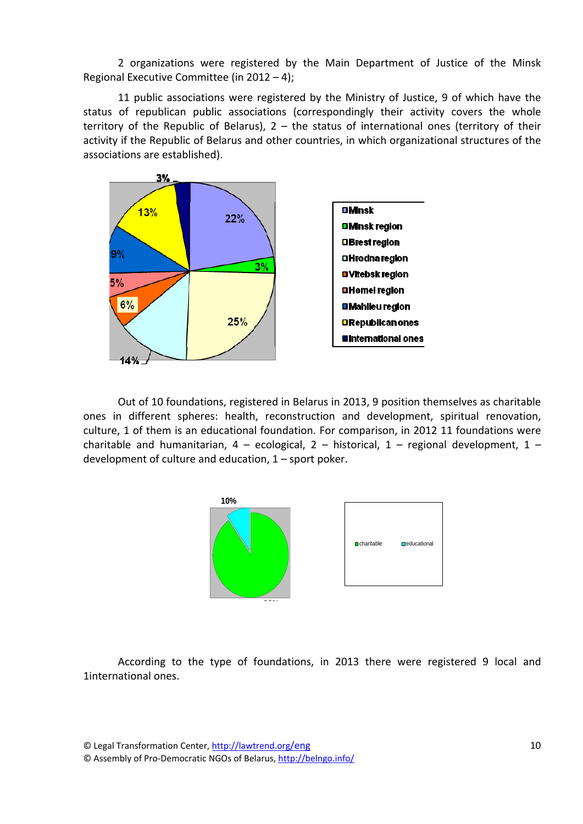2 organizations were registered by the Main Department of Justice of the Minsk Regional Executive Committee (in 2012 – 4);

11 public associations were registered by the Ministry of Justice, 9 of which have the status of republican public associations (correspondingly their activity covers the whole territory of the Republic of Belarus),  $2 -$  the status of international ones (territory of their activity if the Republic of Belarus and other countries, in which organizational structures of the associations are established).



Out of 10 foundations, registered in Belarus in 2013, 9 position themselves as charitable ones in different spheres: health, reconstruction and development, spiritual renovation, culture, 1 of them is an educational foundation. For comparison, in 2012 11 foundations were charitable and humanitarian,  $4 -$  ecological,  $2 -$  historical,  $1 -$  regional development,  $1$ development of culture and education, 1 – sport poker.



According to the type of foundations, in 2013 there were registered 9 local and 1international ones.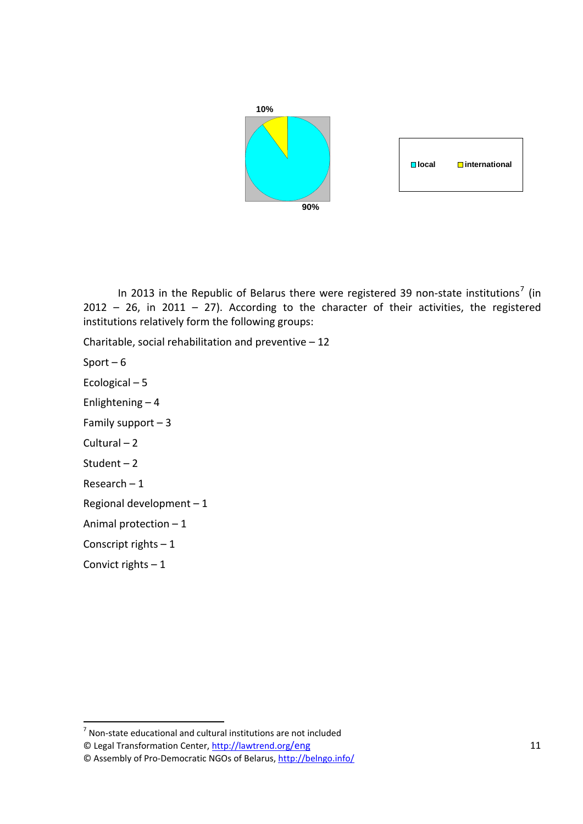

In 2013 in the Republic of Belarus there were registered 39 non-state institutions<sup>[7](#page-10-0)</sup> (in  $2012 - 26$ , in  $2011 - 27$ ). According to the character of their activities, the registered institutions relatively form the following groups:

Charitable, social rehabilitation and preventive – 12

Sport  $-6$ 

Ecological – 5

Enlightening – 4

Family support  $-3$ 

Cultural – 2

Student – 2

Research – 1

Regional development – 1

Animal protection – 1

Conscript rights – 1

Convict rights  $-1$ 

<span id="page-10-0"></span> $<sup>7</sup>$  Non-state educational and cultural institutions are not included</sup>

<sup>©</sup> Legal Transformation Center, http://lawtrend.org/eng

<sup>©</sup> Assembly of Pro‐Democratic NGOs of Belarus, http://belngo.info/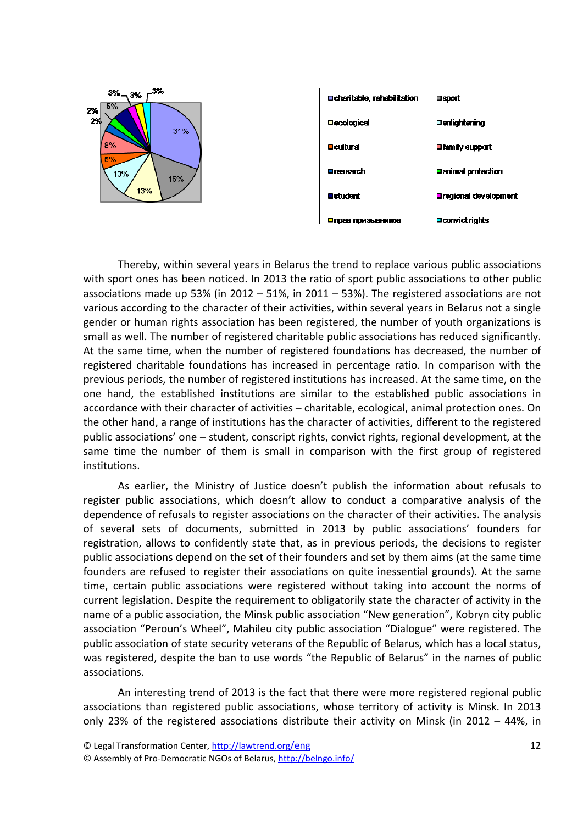



Thereby, within several years in Belarus the trend to replace various public associations with sport ones has been noticed. In 2013 the ratio of sport public associations to other public associations made up 53% (in 2012 – 51%, in 2011 – 53%). The registered associations are not various according to the character of their activities, within several years in Belarus not a single gender or human rights association has been registered, the number of youth organizations is small as well. The number of registered charitable public associations has reduced significantly. At the same time, when the number of registered foundations has decreased, the number of registered charitable foundations has increased in percentage ratio. In comparison with the previous periods, the number of registered institutions has increased. At the same time, on the one hand, the established institutions are similar to the established public associations in accordance with their character of activities – charitable, ecological, animal protection ones. On the other hand, a range of institutions has the character of activities, different to the registered public associations' one – student, conscript rights, convict rights, regional development, at the same time the number of them is small in comparison with the first group of registered institutions.

As earlier, the Ministry of Justice doesn't publish the information about refusals to register public associations, which doesn't allow to conduct a comparative analysis of the dependence of refusals to register associations on the character of their activities. The analysis of several sets of documents, submitted in 2013 by public associations' founders for registration, allows to confidently state that, as in previous periods, the decisions to register public associations depend on the set of their founders and set by them aims (at the same time founders are refused to register their associations on quite inessential grounds). At the same time, certain public associations were registered without taking into account the norms of current legislation. Despite the requirement to obligatorily state the character of activity in the name of a public association, the Minsk public association "New generation", Kobryn city public association "Peroun's Wheel", Mahileu city public association "Dialogue" were registered. The public association of state security veterans of the Republic of Belarus, which has a local status, was registered, despite the ban to use words "the Republic of Belarus" in the names of public associations.

An interesting trend of 2013 is the fact that there were more registered regional public associations than registered public associations, whose territory of activity is Minsk. In 2013 only 23% of the registered associations distribute their activity on Minsk (in 2012 – 44%, in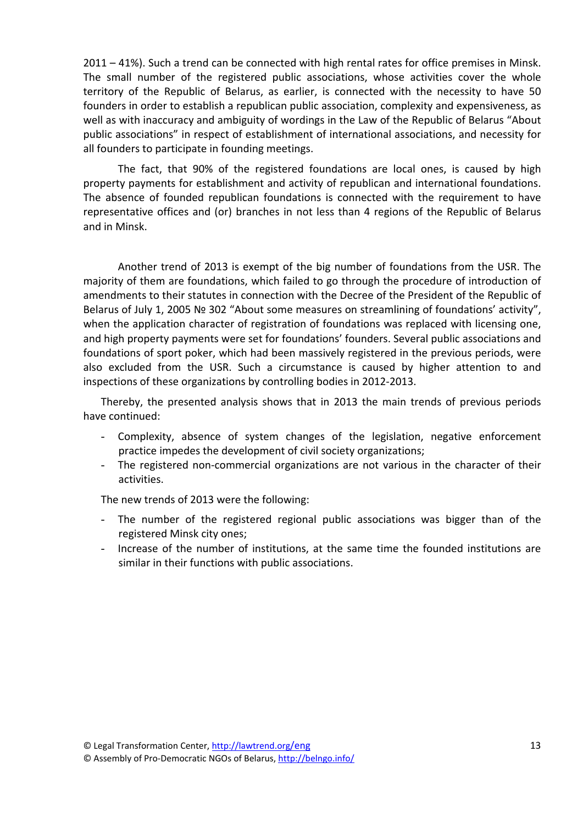2011 – 41%). Such a trend can be connected with high rental rates for office premises in Minsk. The small number of the registered public associations, whose activities cover the whole territory of the Republic of Belarus, as earlier, is connected with the necessity to have 50 founders in order to establish a republican public association, complexity and expensiveness, as well as with inaccuracy and ambiguity of wordings in the Law of the Republic of Belarus "About public associations" in respect of establishment of international associations, and necessity for all founders to participate in founding meetings.

The fact, that 90% of the registered foundations are local ones, is caused by high property payments for establishment and activity of republican and international foundations. The absence of founded republican foundations is connected with the requirement to have representative offices and (or) branches in not less than 4 regions of the Republic of Belarus and in Minsk.

Another trend of 2013 is exempt of the big number of foundations from the USR. The majority of them are foundations, which failed to go through the procedure of introduction of amendments to their statutes in connection with the Decree of the President of the Republic of Belarus of July 1, 2005 № 302 "About some measures on streamlining of foundations' activity", when the application character of registration of foundations was replaced with licensing one, and high property payments were set for foundations' founders. Several public associations and foundations of sport poker, which had been massively registered in the previous periods, were also excluded from the USR. Such a circumstance is caused by higher attention to and inspections of these organizations by controlling bodies in 2012‐2013.

Thereby, the presented analysis shows that in 2013 the main trends of previous periods have continued:

- Complexity, absence of system changes of the legislation, negative enforcement practice impedes the development of civil society organizations;
- The registered non-commercial organizations are not various in the character of their activities.

The new trends of 2013 were the following:

- The number of the registered regional public associations was bigger than of the registered Minsk city ones;
- Increase of the number of institutions, at the same time the founded institutions are similar in their functions with public associations.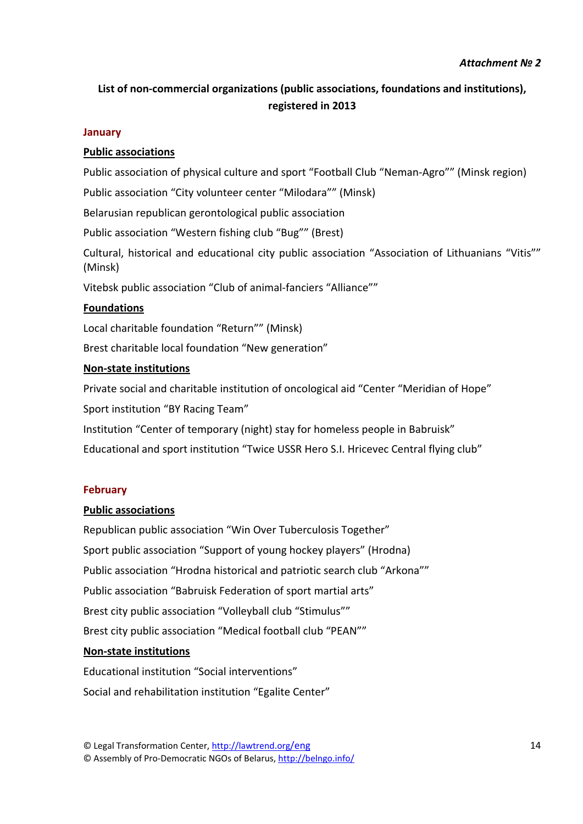# **List of non‐commercial organizations (public associations, foundations and institutions), registered in 2013**

#### **January**

# **Public associations**

Public association of physical culture and sport "Football Club "Neman‐Agro"" (Minsk region)

Public association "City volunteer center "Milodara"" (Minsk)

Belarusian republican gerontological public association

Public association "Western fishing club "Bug"" (Brest)

Cultural, historical and educational city public association "Association of Lithuanians "Vitis"" (Minsk)

Vitebsk public association "Club of animal‐fanciers "Alliance""

## **Foundations**

Local charitable foundation "Return"" (Minsk)

Brest charitable local foundation "New generation"

## **Non‐state institutions**

Private social and charitable institution of oncological aid "Center "Meridian of Hope" Sport institution "BY Racing Team"

Institution "Center of temporary (night) stay for homeless people in Babruisk"

Educational and sport institution "Twice USSR Hero S.I. Hricevec Central flying club"

#### **February**

#### **Public associations**

Republican public association "Win Over Tuberculosis Together" Sport public association "Support of young hockey players" (Hrodna) Public association "Hrodna historical and patriotic search club "Arkona"" Public association "Babruisk Federation of sport martial arts" Brest city public association "Volleyball club "Stimulus"" Brest city public association "Medical football club "PEAN""

#### **Non‐state institutions**

Educational institution "Social interventions" Social and rehabilitation institution "Egalite Center"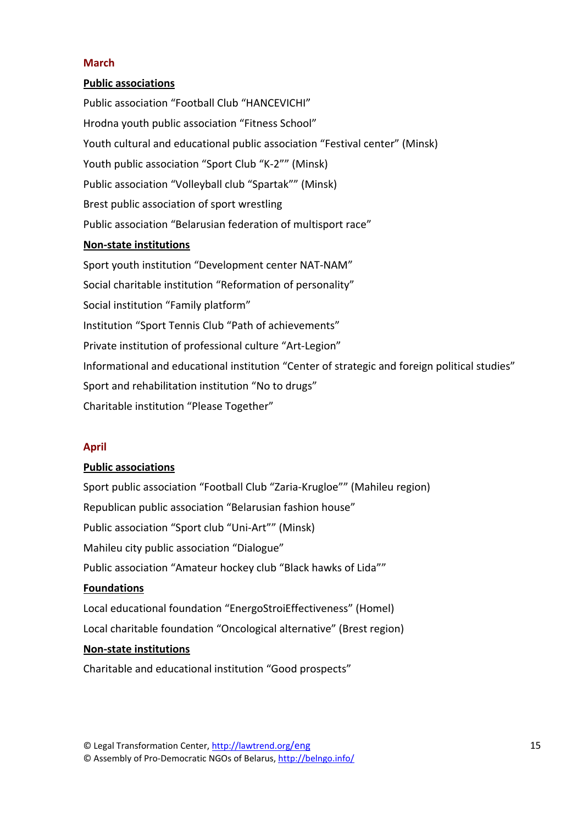## **March**

## **Public associations**

Public association "Football Club "HANCEVICHI" Hrodna youth public association "Fitness School" Youth cultural and educational public association "Festival center" (Minsk) Youth public association "Sport Club "K‐2"" (Minsk) Public association "Volleyball club "Spartak"" (Minsk) Brest public association of sport wrestling Public association "Belarusian federation of multisport race"

## **Non‐state institutions**

Sport youth institution "Development center NAT‐NAM" Social charitable institution "Reformation of personality" Social institution "Family platform" Institution "Sport Tennis Club "Path of achievements" Private institution of professional culture "Art‐Legion" Informational and educational institution "Center of strategic and foreign political studies" Sport and rehabilitation institution "No to drugs" Charitable institution "Please Together"

# **April**

#### **Public associations**

Sport public association "Football Club "Zaria‐Krugloe"" (Mahileu region) Republican public association "Belarusian fashion house" Public association "Sport club "Uni‐Art"" (Minsk) Mahileu city public association "Dialogue" Public association "Amateur hockey club "Black hawks of Lida"" **Foundations** Local educational foundation "EnergoStroiEffectiveness" (Homel) Local charitable foundation "Oncological alternative" (Brest region) **Non‐state institutions**

Charitable and educational institution "Good prospects"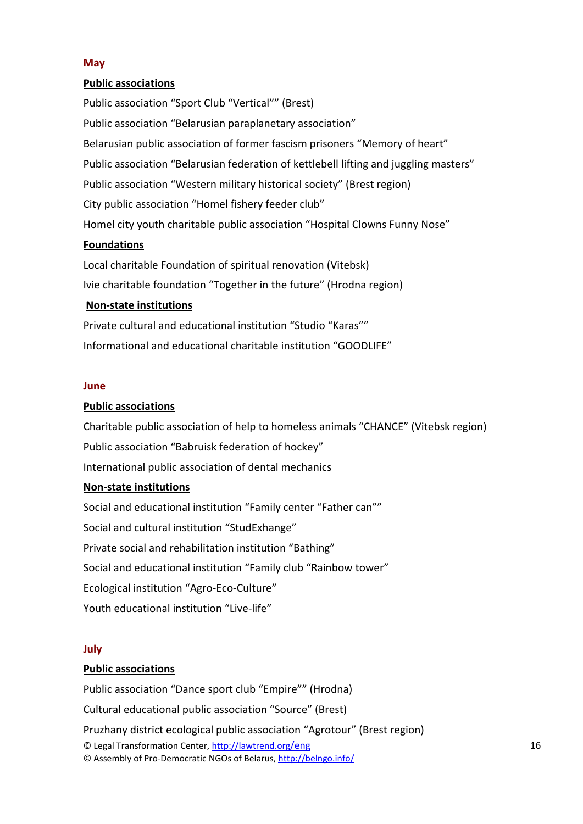## **May**

## **Public associations**

Public association "Sport Club "Vertical"" (Brest) Public association "Belarusian paraplanetary association" Belarusian public association of former fascism prisoners "Memory of heart" Public association "Belarusian federation of kettlebell lifting and juggling masters" Public association "Western military historical society" (Brest region) City public association "Homel fishery feeder club" Homel city youth charitable public association "Hospital Clowns Funny Nose"

## **Foundations**

Local charitable Foundation of spiritual renovation (Vitebsk) Ivie charitable foundation "Together in the future" (Hrodna region)

## **Non‐state institutions**

Private cultural and educational institution "Studio "Karas"" Informational and educational charitable institution "GOODLIFE"

#### **June**

#### **Public associations**

Charitable public association of help to homeless animals "CHANCE" (Vitebsk region) Public association "Babruisk federation of hockey" International public association of dental mechanics

#### **Non‐state institutions**

Social and educational institution "Family center "Father can"" Social and cultural institution "StudExhange" Private social and rehabilitation institution "Bathing" Social and educational institution "Family club "Rainbow tower" Ecological institution "Agro‐Eco‐Culture" Youth educational institution "Live‐life"

#### **July**

#### **Public associations**

© Legal Transformation Center, http://lawtrend.org/eng © Assembly of Pro‐Democratic NGOs of Belarus, http://belngo.info/ Public association "Dance sport club "Empire"" (Hrodna) Cultural educational public association "Source" (Brest) Pruzhany district ecological public association "Agrotour" (Brest region)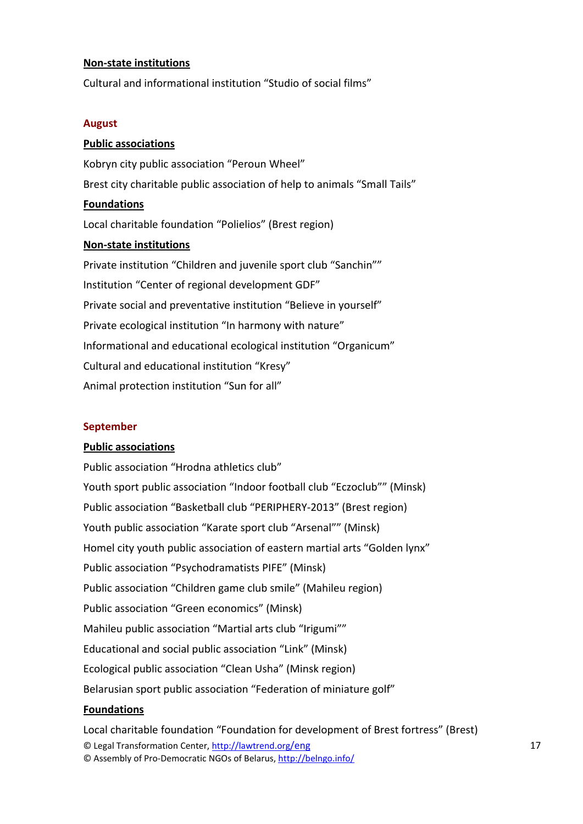#### **Non‐state institutions**

Cultural and informational institution "Studio of social films"

#### **August**

## **Public associations**

Kobryn city public association "Peroun Wheel" Brest city charitable public association of help to animals "Small Tails" **Foundations** Local charitable foundation "Polielios" (Brest region) **Non‐state institutions** Private institution "Children and juvenile sport club "Sanchin"" Institution "Center of regional development GDF" Private social and preventative institution "Believe in yourself" Private ecological institution "In harmony with nature" Informational and educational ecological institution "Organicum" Cultural and educational institution "Kresy" Animal protection institution "Sun for all"

# **September**

#### **Public associations**

Public association "Hrodna athletics club" Youth sport public association "Indoor football club "Eczoclub"" (Minsk) Public association "Basketball club "PERIPHERY‐2013" (Brest region) Youth public association "Karate sport club "Arsenal"" (Minsk) Homel city youth public association of eastern martial arts "Golden lynx" Public association "Psychodramatists PIFE" (Minsk) Public association "Children game club smile" (Mahileu region) Public association "Green economics" (Minsk) Mahileu public association "Martial arts club "Irigumi"" Educational and social public association "Link" (Minsk) Ecological public association "Clean Usha" (Minsk region) Belarusian sport public association "Federation of miniature golf"

# **Foundations**

© Legal Transformation Center, http://lawtrend.org/eng © Assembly of Pro‐Democratic NGOs of Belarus, http://belngo.info/ Local charitable foundation "Foundation for development of Brest fortress" (Brest)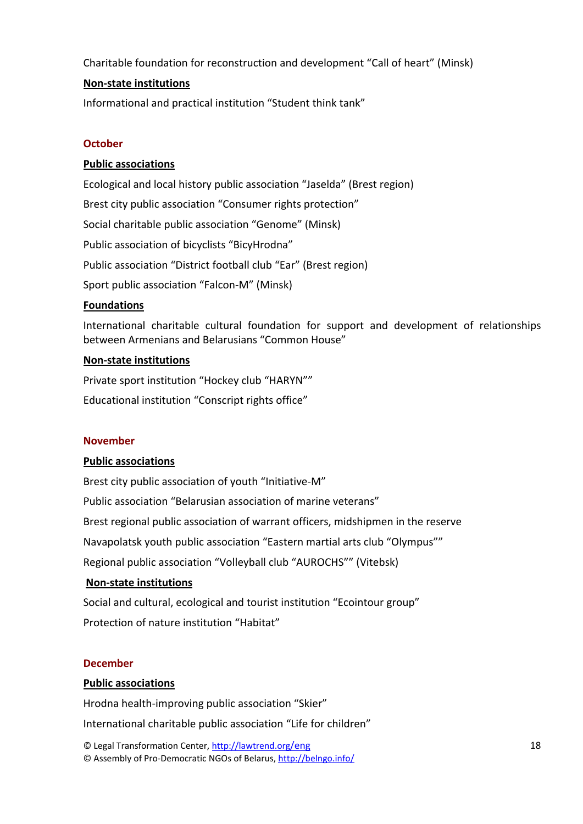Charitable foundation for reconstruction and development "Call of heart" (Minsk)

# **Non‐state institutions**

Informational and practical institution "Student think tank"

# **October**

# **Public associations**

Ecological and local history public association "Jaselda" (Brest region) Brest city public association "Consumer rights protection" Social charitable public association "Genome" (Minsk) Public association of bicyclists "BicyHrodna" Public association "District football club "Ear" (Brest region) Sport public association "Falcon‐M" (Minsk)

# **Foundations**

International charitable cultural foundation for support and development of relationships between Armenians and Belarusians "Common House"

## **Non‐state institutions**

Private sport institution "Hockey club "HARYN"" Educational institution "Conscript rights office"

# **November**

# **Public associations**

Brest city public association of youth "Initiative‐M" Public association "Belarusian association of marine veterans" Brest regional public association of warrant officers, midshipmen in the reserve Navapolatsk youth public association "Eastern martial arts club "Olympus"" Regional public association "Volleyball club "AUROCHS"" (Vitebsk)

# **Non‐state institutions**

Social and cultural, ecological and tourist institution "Ecointour group" Protection of nature institution "Habitat"

#### **December**

# **Public associations**

Hrodna health‐improving public association "Skier"

International charitable public association "Life for children"

© Legal Transformation Center, http://lawtrend.org/eng © Assembly of Pro‐Democratic NGOs of Belarus, http://belngo.info/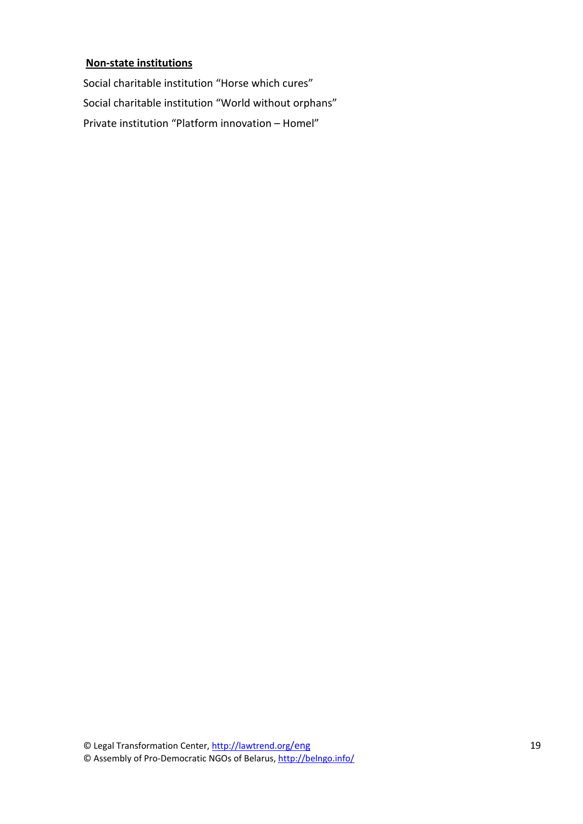#### **Non‐state institutions**

Social charitable institution "Horse which cures" Social charitable institution "World without orphans" Private institution "Platform innovation – Homel"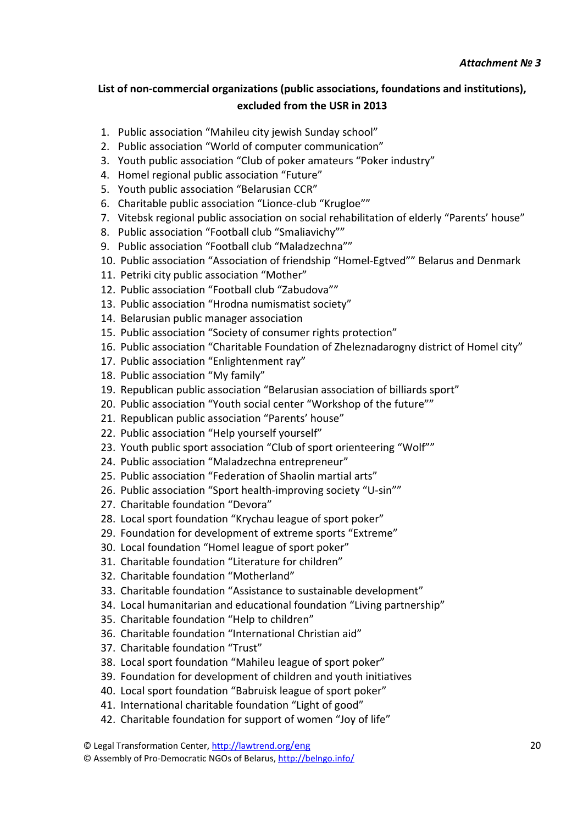# **List of non‐commercial organizations (public associations, foundations and institutions), excluded from the USR in 2013**

- 1. Public association "Mahileu city jewish Sunday school"
- 2. Public association "World of computer communication"
- 3. Youth public association "Club of poker amateurs "Poker industry"
- 4. Homel regional public association "Future"
- 5. Youth public association "Belarusian CCR"
- 6. Charitable public association "Lionce‐club "Krugloe""
- 7. Vitebsk regional public association on social rehabilitation of elderly "Parents' house"
- 8. Public association "Football club "Smaliavichy""
- 9. Public association "Football club "Maladzechna""
- 10. Public association "Association of friendship "Homel‐Egtved"" Belarus and Denmark
- 11. Petriki city public association "Mother"
- 12. Public association "Football club "Zabudova""
- 13. Public association "Hrodna numismatist society"
- 14. Belarusian public manager association
- 15. Public association "Society of consumer rights protection"
- 16. Public association "Charitable Foundation of Zheleznadarogny district of Homel city"
- 17. Public association "Enlightenment ray"
- 18. Public association "My family"
- 19. Republican public association "Belarusian association of billiards sport"
- 20. Public association "Youth social center "Workshop of the future""
- 21. Republican public association "Parents' house"
- 22. Public association "Help yourself yourself"
- 23. Youth public sport association "Club of sport orienteering "Wolf""
- 24. Public association "Maladzechna entrepreneur"
- 25. Public association "Federation of Shaolin martial arts"
- 26. Public association "Sport health‐improving society "U‐sin""
- 27. Charitable foundation "Devora"
- 28. Local sport foundation "Krychau league of sport poker"
- 29. Foundation for development of extreme sports "Extreme"
- 30. Local foundation "Homel league of sport poker"
- 31. Charitable foundation "Literature for children"
- 32. Charitable foundation "Motherland"
- 33. Charitable foundation "Assistance to sustainable development"
- 34. Local humanitarian and educational foundation "Living partnership"
- 35. Charitable foundation "Help to children"
- 36. Charitable foundation "International Christian aid"
- 37. Charitable foundation "Trust"
- 38. Local sport foundation "Mahileu league of sport poker"
- 39. Foundation for development of children and youth initiatives
- 40. Local sport foundation "Babruisk league of sport poker"
- 41. International charitable foundation "Light of good"
- 42. Charitable foundation for support of women "Joy of life"

© Legal Transformation Center, http://lawtrend.org/eng

© Assembly of Pro‐Democratic NGOs of Belarus, http://belngo.info/